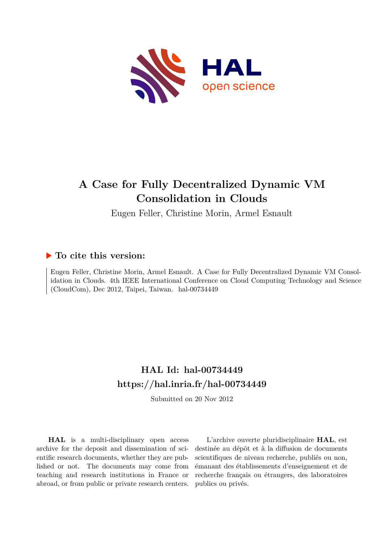

## **A Case for Fully Decentralized Dynamic VM Consolidation in Clouds**

Eugen Feller, Christine Morin, Armel Esnault

### **To cite this version:**

Eugen Feller, Christine Morin, Armel Esnault. A Case for Fully Decentralized Dynamic VM Consolidation in Clouds. 4th IEEE International Conference on Cloud Computing Technology and Science  $(CloudCom)$ , Dec 2012, Taipei, Taiwan. hal-00734449

## **HAL Id: hal-00734449 <https://hal.inria.fr/hal-00734449>**

Submitted on 20 Nov 2012

**HAL** is a multi-disciplinary open access archive for the deposit and dissemination of scientific research documents, whether they are published or not. The documents may come from teaching and research institutions in France or abroad, or from public or private research centers.

L'archive ouverte pluridisciplinaire **HAL**, est destinée au dépôt et à la diffusion de documents scientifiques de niveau recherche, publiés ou non, émanant des établissements d'enseignement et de recherche français ou étrangers, des laboratoires publics ou privés.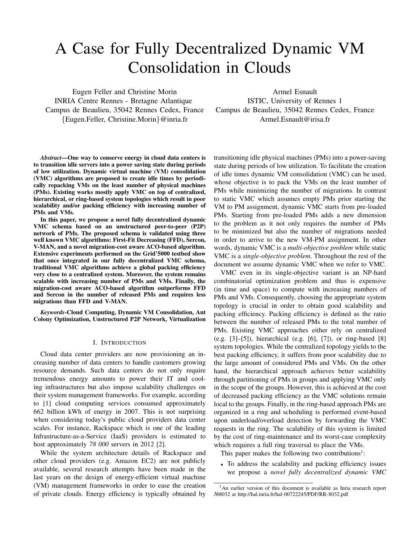# A Case for Fully Decentralized Dynamic VM Consolidation in Clouds

Eugen Feller and Christine Morin INRIA Centre Rennes - Bretagne Atlantique Campus de Beaulieu, 35042 Rennes Cedex, France {Eugen.Feller, Christine.Morin}@inria.fr

Armel Esnault

ISTIC, University of Rennes 1 Campus de Beaulieu, 35042 Rennes Cedex, France Armel.Esnault@irisa.fr

*Abstract*—One way to conserve energy in cloud data centers is to transition idle servers into a power saving state during periods of low utilization. Dynamic virtual machine (VM) consolidation (VMC) algorithms are proposed to create idle times by periodically repacking VMs on the least number of physical machines (PMs). Existing works mostly apply VMC on top of centralized, hierarchical, or ring-based system topologies which result in poor scalability and/or packing efficiency with increasing number of PMs and VMs.

In this paper, we propose a novel fully decentralized dynamic VMC schema based on an unstructured peer-to-peer (P2P) network of PMs. The proposed schema is validated using three well known VMC algorithms: First-Fit Decreasing (FFD), Sercon, V-MAN, and a novel migration-cost aware ACO-based algorithm. Extensive experiments performed on the Grid'5000 testbed show that once integrated in our fully decentralized VMC schema, traditional VMC algorithms achieve a global packing efficiency very close to a centralized system. Moreover, the system remains scalable with increasing number of PMs and VMs. Finally, the migration-cost aware ACO-based algorithm outperforms FFD and Sercon in the number of released PMs and requires less migrations than FFD and V-MAN.

*Keywords*-Cloud Computing, Dynamic VM Consolidation, Ant Colony Optimization, Unstructured P2P Network, Virtualization

#### I. INTRODUCTION

Cloud data center providers are now provisioning an increasing number of data centers to handle customers growing resource demands. Such data centers do not only require tremendous energy amounts to power their IT and cooling infrastructures but also impose scalability challenges on their system management frameworks. For example, according to [1] cloud computing services consumed approximately 662 billion kWh of energy in 2007. This is not surprising when considering today's public cloud providers data center scales. For instance, Rackspace which is one of the leading Infrastructure-as-a-Service (IaaS) providers is estimated to host approximately *78 000* servers in 2012 [2].

While the system architecture details of Rackspace and other cloud providers (e.g. Amazon EC2) are not publicly available, several research attempts have been made in the last years on the design of energy-efficient virtual machine (VM) management frameworks in order to ease the creation of private clouds. Energy efficiency is typically obtained by transitioning idle physical machines (PMs) into a power-saving state during periods of low utilization. To facilitate the creation of idle times dynamic VM consolidation (VMC) can be used, whose objective is to pack the VMs on the least number of PMs while minimizing the number of migrations. In contrast to static VMC which assumes empty PMs prior starting the VM to PM assignment, dynamic VMC starts from pre-loaded PMs. Starting from pre-loaded PMs adds a new dimension to the problem as it not only requires the number of PMs to be minimized but also the number of migrations needed in order to arrive to the new VM-PM assignment. In other words, dynamic VMC is a *multi-objective problem* while static VMC is a *single-objective problem*. Throughout the rest of the document we assume dynamic VMC when we refer to VMC.

VMC even in its single-objective variant is an NP-hard combinatorial optimization problem and thus is expensive (in time and space) to compute with increasing numbers of PMs and VMs. Consequently, choosing the appropriate system topology is crucial in order to obtain good scalability and packing efficiency. Packing efficiency is defined as the ratio between the number of released PMs to the total number of PMs. Existing VMC approaches either rely on centralized (e.g. [3]–[5]), hierarchical (e.g. [6], [7]), or ring-based [8] system topologies. While the centralized topology yields to the best packing efficiency, it suffers from poor scalability due to the large amount of considered PMs and VMs. On the other hand, the hierarchical approach achieves better scalability through partitioning of PMs in groups and applying VMC only in the scope of the groups. However, this is achieved at the cost of decreased packing efficiency as the VMC solutions remain local to the groups. Finally, in the ring-based approach PMs are organized in a ring and scheduling is performed event-based upon underload/overload detection by forwarding the VMC requests in the ring. The scalability of this system is limited by the cost of ring-maintenance and its worst-case complexity which requires a full ring traversal to place the VMs.

This paper makes the following two contributions<sup>1</sup>:

• To address the scalability and packing efficiency issues we propose a *novel fully decentralized dynamic VMC*

<sup>&</sup>lt;sup>1</sup>An earlier version of this document is available as Inria research report №8032 at http://hal.inria.fr/hal-00722245/PDF/RR-8032.pdf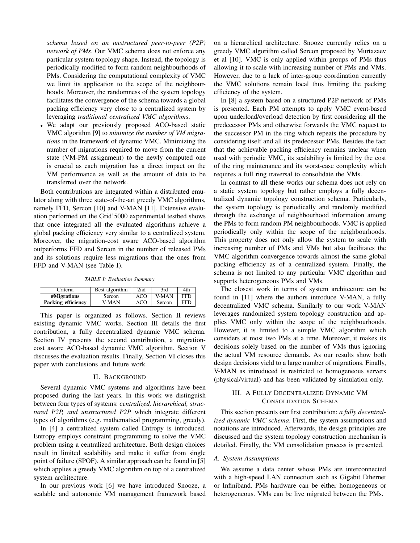*schema based on an unstructured peer-to-peer (P2P) network of PMs*. Our VMC schema does not enforce any particular system topology shape. Instead, the topology is periodically modified to form random neighbourhoods of PMs. Considering the computational complexity of VMC we limit its application to the scope of the neighbourhoods. Moreover, the randomness of the system topology facilitates the convergence of the schema towards a global packing efficiency very close to a centralized system by leveraging *traditional centralized VMC algorithms*.

• We adapt our previously proposed ACO-based static VMC algorithm [9] to *minimize the number of VM migrations* in the framework of dynamic VMC. Minimizing the number of migrations required to move from the current state (VM-PM assignment) to the newly computed one is crucial as each migration has a direct impact on the VM performance as well as the amount of data to be transferred over the network.

Both contributions are integrated within a distributed emulator along with three state-of-the-art greedy VMC algorithms, namely FFD, Sercon [10] and V-MAN [11]. Extensive evaluation performed on the Grid'5000 experimental testbed shows that once integrated all the evaluated algorithms achieve a global packing efficiency very similar to a centralized system. Moreover, the migration-cost aware ACO-based algorithm outperforms FFD and Sercon in the number of released PMs and its solutions require less migrations than the ones from FFD and V-MAN (see Table I).

*TABLE I: Evaluation Summary*

| Criteria           | Best algorithm | 2nd | 3rd    | 4th |
|--------------------|----------------|-----|--------|-----|
| #Migrations        | Sercon         | ACO | V-MAN  | FFD |
| Packing efficiency | V-MAN          | ACO | Sercon | FFD |

This paper is organized as follows. Section II reviews existing dynamic VMC works. Section III details the first contribution, a fully decentralized dynamic VMC schema. Section IV presents the second contribution, a migrationcost aware ACO-based dynamic VMC algorithm. Section V discusses the evaluation results. Finally, Section VI closes this paper with conclusions and future work.

#### II. BACKGROUND

Several dynamic VMC systems and algorithms have been proposed during the last years. In this work we distinguish between four types of systems: *centralized, hierarchical, structured P2P, and unstructured P2P* which integrate different types of algorithms (e.g. mathematical programming, greedy).

In [4] a centralized system called Entropy is introduced. Entropy employs constraint programming to solve the VMC problem using a centralized architecture. Both design choices result in limited scalability and make it suffer from single point of failure (SPOF). A similar approach can be found in [5] which applies a greedy VMC algorithm on top of a centralized system architecture.

In our previous work [6] we have introduced Snooze, a scalable and autonomic VM management framework based on a hierarchical architecture. Snooze currently relies on a greedy VMC algorithm called Sercon proposed by Murtazaev et al [10]. VMC is only applied within groups of PMs thus allowing it to scale with increasing number of PMs and VMs. However, due to a lack of inter-group coordination currently the VMC solutions remain local thus limiting the packing efficiency of the system.

In [8] a system based on a structured P2P network of PMs is presented. Each PM attempts to apply VMC event-based upon underload/overload detection by first considering all the predecessor PMs and otherwise forwards the VMC request to the successor PM in the ring which repeats the procedure by considering itself and all its predecessor PMs. Besides the fact that the achievable packing efficiency remains unclear when used with periodic VMC, its scalability is limited by the cost of the ring maintenance and its worst-case complexity which requires a full ring traversal to consolidate the VMs.

In contrast to all these works our schema does not rely on a static system topology but rather employs a fully decentralized dynamic topology construction schema. Particularly, the system topology is periodically and randomly modified through the exchange of neighbourhood information among the PMs to form random PM neighbourhoods. VMC is applied periodically only within the scope of the neighbourhoods. This property does not only allow the system to scale with increasing number of PMs and VMs but also facilitates the VMC algorithm convergence towards almost the same global packing efficiency as of a centralized system. Finally, the schema is not limited to any particular VMC algorithm and supports heterogeneous PMs and VMs.

The closest work in terms of system architecture can be found in [11] where the authors introduce V-MAN, a fully decentralized VMC schema. Similarly to our work V-MAN leverages randomized system topology construction and applies VMC only within the scope of the neighbourhoods. However, it is limited to a simple VMC algorithm which considers at most two PMs at a time. Moreover, it makes its decisions solely based on the number of VMs thus ignoring the actual VM resource demands. As our results show both design decisions yield to a large number of migrations. Finally, V-MAN as introduced is restricted to homogeneous servers (physical/virtual) and has been validated by simulation only.

#### III. A FULLY DECENTRALIZED DYNAMIC VM CONSOLIDATION SCHEMA

This section presents our first contribution: *a fully decentralized dynamic VMC schema*. First, the system assumptions and notations are introduced. Afterwards, the design principles are discussed and the system topology construction mechanism is detailed. Finally, the VM consolidation process is presented.

#### *A. System Assumptions*

We assume a data center whose PMs are interconnected with a high-speed LAN connection such as Gigabit Ethernet or Infiniband. PMs hardware can be either homogeneous or heterogeneous. VMs can be live migrated between the PMs.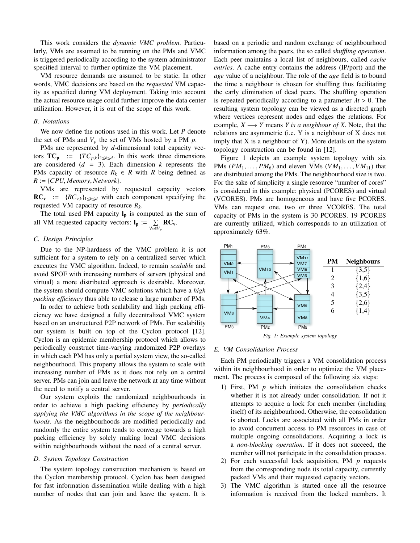This work considers the *dynamic VMC problem*. Particularly, VMs are assumed to be running on the PMs and VMC is triggered periodically according to the system administrator specified interval to further optimize the VM placement.

VM resource demands are assumed to be static. In other words, VMC decisions are based on the *requested* VM capacity as specified during VM deployment. Taking into account the actual resource usage could further improve the data center utilization. However, it is out of the scope of this work.

#### *B. Notations*

We now define the notions used in this work. Let *P* denote the set of PMs and  $V_p$  the set of VMs hosted by a PM  $p$ .

PMs are represented by *d*-dimensional total capacity vectors  $TC_p := \{TC_{p,k}\}_{1 \leq k \leq d}$ . In this work three dimensions are considered  $(d = 3)$ . Each dimension  $k$  represents the PMs capacity of resource  $R_k \in R$  with *R* being defined as  $R := \{CPU, Memory, Network\}.$ 

VMs are represented by requested capacity vectors  $RC_v$  := { $RC_{v,k}$ }<sub>1≤*k*≤*d*</sub> with each component specifying the requested VM capacity of resource *Rk*.

The total used PM capacity  $l_p$  is computed as the sum of all VM requested capacity vectors:  $I_p := \sum_{\forall v \in V_p} RC_v$ .

#### *C. Design Principles*

Due to the NP-hardness of the VMC problem it is not sufficient for a system to rely on a centralized server which executes the VMC algorithm. Indeed, to remain *scalable* and avoid SPOF with increasing numbers of servers (physical and virtual) a more distributed approach is desirable. Moreover, the system should compute VMC solutions which have a *high packing efficiency* thus able to release a large number of PMs.

In order to achieve both scalability and high packing efficiency we have designed a fully decentralized VMC system based on an unstructured P2P network of PMs. For scalability our system is built on top of the Cyclon protocol [12]. Cyclon is an epidemic membership protocol which allows to periodically construct time-varying randomized P2P overlays in which each PM has only a partial system view, the so-called neighbourhood. This property allows the system to scale with increasing number of PMs as it does not rely on a central server. PMs can join and leave the network at any time without the need to notify a central server.

Our system exploits the randomized neighbourhoods in order to achieve a high packing efficiency by *periodically applying the VMC algorithms in the scope of the neighbourhoods*. As the neighbourhoods are modified periodically and randomly the entire system tends to converge towards a high packing efficiency by solely making local VMC decisions within neighbourhoods without the need of a central server.

#### *D. System Topology Construction*

The system topology construction mechanism is based on the Cyclon membership protocol. Cyclon has been designed for fast information dissemination while dealing with a high number of nodes that can join and leave the system. It is based on a periodic and random exchange of neighbourhood information among the peers, the so called *shuffling operation*. Each peer maintains a local list of neighbours, called *cache entries*. A cache entry contains the address (IP/port) and the *age* value of a neighbour. The role of the *age* field is to bound the time a neighbour is chosen for shuffling thus facilitating the early elimination of dead peers. The shuffling operation is repeated periodically according to a parameter  $\lambda t > 0$ . The resulting system topology can be viewed as a directed graph where vertices represent nodes and edges the relations. For example,  $X \longrightarrow Y$  means *Y* is a neighbour of *X*. Note, that the relations are asymmetric (i.e. Y is a neighbour of X does not imply that  $X$  is a neighbour of  $Y$ ). More details on the system topology construction can be found in [12].

Figure 1 depicts an example system topology with six PMs  $(PM_1, \ldots, PM_6)$  and eleven VMs  $(VM_1, \ldots, VM_{11})$  that are distributed among the PMs. The neighbourhood size is two. For the sake of simplicity a single resource "number of cores" is considered in this example: physical (PCORES) and virtual (VCORES). PMs are homogeneous and have five PCORES. VMs can request one, two or three VCORES. The total capacity of PMs in the system is 30 PCORES. 19 PCORES are currently utilized, which corresponds to an utilization of approximately 63%.



#### *Fig. 1: Example system topology*

#### *E. VM Consolidation Process*

Each PM periodically triggers a VM consolidation process within its neighbourhood in order to optimize the VM placement. The process is composed of the following six steps:

- 1) First, PM *p* which initiates the consolidation checks whether it is not already under consolidation. If not it attempts to acquire a lock for each member (including itself) of its neighbourhood. Otherwise, the consolidation is aborted. Locks are associated with all PMs in order to avoid concurrent access to PM resources in case of multiple ongoing consolidations. Acquiring a lock is a *non-blocking operation*. If it does not succeed, the member will not participate in the consolidation process.
- 2) For each successful lock acquisition, PM *p* requests from the corresponding node its total capacity, currently packed VMs and their requested capacity vectors.
- 3) The VMC algorithm is started once all the resource information is received from the locked members. It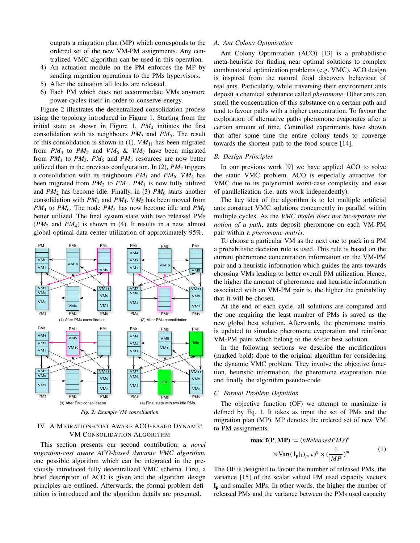outputs a migration plan (MP) which corresponds to the ordered set of the new VM-PM assignments. Any centralized VMC algorithm can be used in this operation.

- 4) An actuation module on the PM enforces the MP by sending migration operations to the PMs hypervisors.
- 5) After the actuation all locks are released.
- 6) Each PM which does not accommodate VMs anymore power-cycles itself in order to conserve energy.

Figure 2 illustrates the decentralized consolidation process using the topology introduced in Figure 1. Starting from the initial state as shown in Figure 1, *PM*<sup>4</sup> initiates the first consolidation with its neighbours *PM*<sup>3</sup> and *PM*5. The result of this consolidation is shown in  $(1)$ .  $VM_{11}$  has been migrated from  $PM_4$  to  $PM_5$  and  $VM_6$  &  $VM_7$  have been migrated from  $PM_4$  to  $PM_3$ .  $PM_5$  and  $PM_3$  resources are now better utilized than in the previous configuration. In  $(2)$ ,  $PM<sub>2</sub>$  triggers a consolidation with its neighbours  $PM_1$  and  $PM_6$ .  $VM_4$  has been migrated from  $PM_2$  to  $PM_1$ .  $PM_1$  is now fully utilized and  $PM_2$  has become idle. Finally, in (3)  $PM_6$  starts another consolidation with  $PM_1$  and  $PM_4$ .  $VM_5$  has been moved from  $PM_4$  to  $PM_6$ . The node  $PM_4$  has now become idle and  $PM_6$ better utilized. The final system state with two released PMs  $(PM_2$  and  $PM_4$ ) is shown in (4). It results in a new, almost global optimal data center utilization of approximately 95%.



*Fig. 2: Example VM consolidation*

#### IV. A MIGRATION-COST AWARE ACO-BASED DYNAMIC VM CONSOLIDATION ALGORITHM

This section presents our second contribution: *a novel migration-cost aware ACO-based dynamic VMC algorithm*, one possible algorithm which can be integrated in the previously introduced fully decentralized VMC schema. First, a brief description of ACO is given and the algorithm design principles are outlined. Afterwards, the formal problem definition is introduced and the algorithm details are presented.

#### *A. Ant Colony Optimization*

Ant Colony Optimization (ACO) [13] is a probabilistic meta-heuristic for finding near optimal solutions to complex combinatorial optimization problems (e.g. VMC). ACO design is inspired from the natural food discovery behaviour of real ants. Particularly, while traversing their environment ants deposit a chemical substance called *pheromone*. Other ants can smell the concentration of this substance on a certain path and tend to favour paths with a higher concentration. To favour the exploration of alternative paths pheromone evaporates after a certain amount of time. Controlled experiments have shown that after some time the entire colony tends to converge towards the shortest path to the food source [14].

#### *B. Design Principles*

In our previous work [9] we have applied ACO to solve the static VMC problem. ACO is especially attractive for VMC due to its polynomial worst-case complexity and ease of parallelization (i.e. ants work independently).

The key idea of the algorithm is to let multiple artificial ants construct VMC solutions concurrently in parallel within multiple cycles. As the *VMC model does not incorporate the notion of a path*, ants deposit pheromone on each VM-PM pair within a *pheromone matrix*.

To choose a particular VM as the next one to pack in a PM a probabilistic decision rule is used. This rule is based on the current pheromone concentration information on the VM-PM pair and a heuristic information which guides the ants towards choosing VMs leading to better overall PM utilization. Hence, the higher the amount of pheromone and heuristic information associated with an VM-PM pair is, the higher the probability that it will be chosen.

At the end of each cycle, all solutions are compared and the one requiring the least number of PMs is saved as the new global best solution. Afterwards, the pheromone matrix is updated to simulate pheromone evaporation and reinforce VM-PM pairs which belong to the so-far best solution.

In the following sections we describe the modifications (marked bold) done to the original algorithm for considering the dynamic VMC problem. They involve the objective function, heuristic information, the pheromone evaporation rule and finally the algorithm pseudo-code.

#### *C. Formal Problem Definition*

The objective function (OF) we attempt to maximize is defined by Eq. 1. It takes as input the set of PMs and the migration plan (MP). MP denotes the ordered set of new VM to PM assignments.

$$
\mathbf{max} \ \mathbf{f}(\mathbf{P}, \mathbf{MP}) := (nReleasedPMs)^e
$$

$$
\times \text{Var}((|\mathbf{l}_{\mathbf{p}}|_1)_{p \in P})^g \times (\frac{1}{|MP|})^m \tag{1}
$$

The OF is designed to favour the number of released PMs, the variance [15] of the scalar valued PM used capacity vectors l<sup>p</sup> and smaller MPs. In other words, the higher the number of released PMs and the variance between the PMs used capacity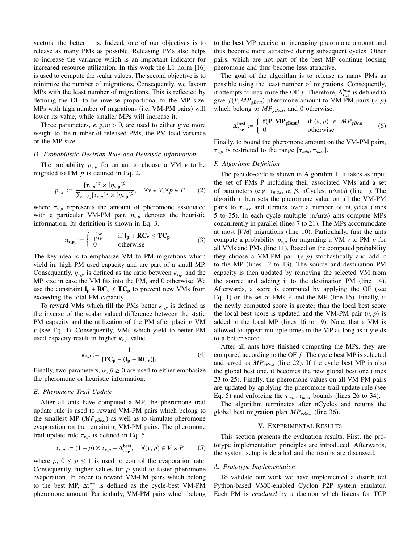vectors, the better it is. Indeed, one of our objectives is to release as many PMs as possible. Releasing PMs also helps to increase the variance which is an important indicator for increased resource utilization. In this work the L1 norm [16] is used to compute the scalar values. The second objective is to minimize the number of migrations. Consequently, we favour MPs with the least number of migrations. This is reflected by defining the OF to be inverse proportional to the MP size. MPs with high number of migrations (i.e. VM-PM pairs) will lower its value, while smaller MPs will increase it.

Three parameters,  $e, g, m > 0$ , are used to either give more weight to the number of released PMs, the PM load variance or the MP size.

#### *D. Probabilistic Decision Rule and Heuristic Information*

The probability  $p_{v,p}$  for an ant to choose a VM  $v$  to be migrated to PM *p* is defined in Eq. 2.

$$
p_{v,p} := \frac{[\tau_{v,p}]^{\alpha} \times [\eta_{v,p}]^{\beta}}{\sum_{v \in V_p} [\tau_{v,p}]^{\alpha} \times [\eta_{v,p}]^{\beta}}, \quad \forall v \in V, \forall p \in P \qquad (2)
$$

where  $\tau_{v,p}$  represents the amount of pheromone associated with a particular VM-PM pair.  $\eta_{v,p}$  denotes the heuristic information. Its definition is shown in Eq. 3.

$$
\eta_{\mathbf{v},\mathbf{p}} := \begin{cases} \frac{K_{\mathbf{v},p}}{|MP|} & \text{if } \mathbf{l}_{\mathbf{p}} + \mathbf{RC}_{\mathbf{v}} \leq \mathbf{TC}_{\mathbf{p}} \\ 0 & \text{otherwise} \end{cases}
$$
 (3)

The key idea is to emphasize VM to PM migrations which yield in: high PM used capacity and are part of a small MP. Consequently,  $\eta_{v,p}$  is defined as the ratio between  $\kappa_{v,p}$  and the MP size in case the VM fits into the PM, and 0 otherwise. We use the constraint  $l_p + RC_v \le TC_p$  to prevent new VMs from exceeding the total PM capacity.

To reward VMs which fill the PMs better  $\kappa_{v,p}$  is defined as the inverse of the scalar valued difference between the static PM capacity and the utilization of the PM after placing VM *v* (see Eq. 4). Consequently, VMs which yield to better PM used capacity result in higher  $\kappa_{v,p}$  value.

$$
\kappa_{v,p} := \frac{1}{|\mathbf{TC}_{\mathbf{p}} - (\mathbf{l}_{\mathbf{p}} + \mathbf{RC}_{\mathbf{v}})|_1}
$$
(4)

Finally, two parameters,  $\alpha$ ,  $\beta \ge 0$  are used to either emphasize the pheromone or heuristic information.

#### *E. Pheromone Trail Update*

After all ants have computed a MP, the pheromone trail update rule is used to reward VM-PM pairs which belong to the smallest MP (*MPgBest*) as well as to simulate pheromone evaporation on the remaining VM-PM pairs. The pheromone trail update rule  $\tau_{v,p}$  is defined in Eq. 5.

$$
\tau_{v,p} := (1 - \rho) \times \tau_{v,p} + \Delta_{\tau_{v,p}}^{\text{best}}, \quad \forall (v,p) \in V \times P \tag{5}
$$

where  $\rho$ ,  $0 \le \rho \le 1$  is used to control the evaporation rate. Consequently, higher values for  $\rho$  yield to faster pheromone evaporation. In order to reward VM-PM pairs which belong to the best MP,  $\Delta_{\tau_{\text{max}}}^{best}$  is defined as the cycle-best VM-PM  $\frac{1}{2}$  pheromone amount. Particularly, VM-PM pairs which belong

to the best MP receive an increasing pheromone amount and thus become more attractive during subsequent cycles. Other pairs, which are not part of the best MP continue loosing pheromone and thus become less attractive.

The goal of the algorithm is to release as many PMs as possible using the least number of migrations. Consequently, it attempts to maximize the OF *f*. Therefore,  $\Delta_{\tau_{\text{max}}}^{best}$  is defined to *x* and *f*(*P*, *MP*<sub>*gBest*</sub>) pheromone amount to VM-PM pairs (*v*, *p*) which belong to *MP*  $_{\text{B}}$  and 0 otherwise which belong to  $MP_{gBest}$ , and 0 otherwise.

$$
\Delta_{\tau_{\rm v,p}}^{\rm best} := \left\{ \begin{array}{ll} {\bf f}({\bf P},{\bf MP_{gBest}}) & \text{if } (\nu, p) \in MP_{gBest} \\ 0 & \text{otherwise} \end{array} \right. \tag{6}
$$

Finally, to bound the pheromone amount on the VM-PM pairs,  $\tau_{v,p}$  is restricted to the range  $[\tau_{min}, \tau_{max}]$ .

#### *F. Algorithm Definition*

The pseudo-code is shown in Algorithm 1. It takes as input the set of PMs P including their associated VMs and a set of parameters (e.g.  $\tau_{max}$ ,  $\alpha$ ,  $\beta$ , nCycles, nAnts) (line 1). The algorithm then sets the pheromone value on all the VM-PM pairs to  $\tau_{max}$  and iterates over a number of nCycles (lines 5 to 35). In each cycle multiple (nAnts) ants compute MPs concurrently in parallel (lines 7 to 21). The MPs accommodate at most |*VM*| migrations (line 10). Particularly, first the ants compute a probability  $p_{v,p}$  for migrating a VM  $v$  to PM  $p$  for all VMs and PMs (line 11). Based on the computed probability they choose a VM-PM pair  $(v, p)$  stochastically and add it to the MP (lines 12 to 13). The source and destination PM capacity is then updated by removing the selected VM from the source and adding it to the destination PM (line 14). Afterwards, a score is computed by applying the OF (see Eq. 1) on the set of PMs P and the MP (line 15). Finally, if the newly computed score is greater than the local best score the local best score is updated and the VM-PM pair  $(v, p)$  is added to the local MP (lines 16 to 19). Note, that a VM is allowed to appear multiple times in the MP as long as it yields to a better score.

After all ants have finished computing the MPs, they are compared according to the OF *f* . The cycle best MP is selected and saved as *MPcBest* (line 22). If the cycle best MP is also the global best one, it becomes the new global best one (lines 23 to 25). Finally, the pheromone values on all VM-PM pairs are updated by applying the pheromone trail update rule (see Eq. 5) and enforcing the  $\tau_{min}$ ,  $\tau_{max}$  bounds (lines 26 to 34).

The algorithm terminates after nCycles and returns the global best migration plan *MPgBest* (line 36).

#### V. EXPERIMENTAL RESULTS

This section presents the evaluation results. First, the prototype implementation principles are introduced. Afterwards, the system setup is detailed and the results are discussed.

#### *A. Prototype Implementation*

To validate our work we have implemented a distributed Python-based VMC-enabled Cyclon P2P system emulator. Each PM is *emulated* by a daemon which listens for TCP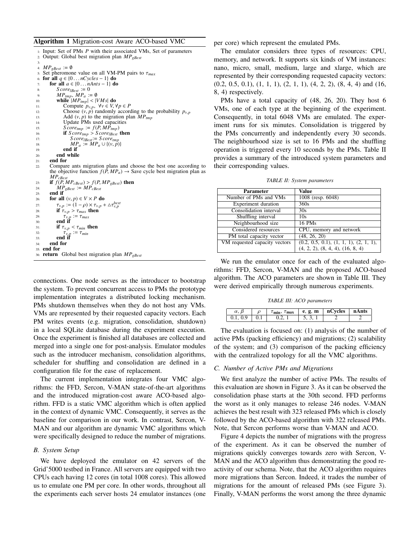#### Algorithm 1 Migration-cost Aware ACO-based VMC

| 2:  | $\mu$ : Input: Set of PMs P with their associated VMs, Set of parameters<br>Output: Global best migration plan $MP_{eBest}$ |
|-----|-----------------------------------------------------------------------------------------------------------------------------|
| 3:  |                                                                                                                             |
| 4:  | $MP_{eBest} := \emptyset$                                                                                                   |
| 5:  | Set pheromone value on all VM-PM pairs to $\tau_{max}$                                                                      |
| 6:  | for all $q \in \{0 \dots nCycles - 1\}$ do                                                                                  |
| 7:  | for all $a \in \{0 \dots nAnts - 1\}$ do                                                                                    |
| 8:  | $Score_{\text{IBest}} := 0$                                                                                                 |
| 9:  | $MP_{tmp}, MP_a := \emptyset$                                                                                               |
| 10: | while $ MP_{tmp}  <  VMs $ do                                                                                               |
| 11: | Compute $p_{v,p}$ , $\forall v \in V, \forall p \in P$                                                                      |
| 12: | Choose $(v, p)$ randomly according to the probability $p_{v,p}$                                                             |
| 13: | Add $(v, p)$ to the migration plan $MP_{tmn}$                                                                               |
| 14: | Update PMs used capacities                                                                                                  |
| 15: | $Score_{tmp} := f(P, MP_{tmp})$                                                                                             |
| 16: | if $Score_{tmp} > Score_{IBest}$ then                                                                                       |
| 17: | $Score_{IBest} := Score_{tmp}$                                                                                              |
| 18: | $MP_a := MP_a \cup \{(v, p)\}\$                                                                                             |
| 19: | end if                                                                                                                      |
| 20: | end while                                                                                                                   |
| 21: | end for                                                                                                                     |
| 22: | Compare ants migration plans and choose the best one according to                                                           |
|     | the objective function $f(P, MP_a) \rightarrow$ Save cycle best migration plan as                                           |
|     | $MP_{cBest}$                                                                                                                |
| 23: | if $f(P, MP_{cBest}) > f(P, MP_{eBest})$ then                                                                               |
| 24: | $MP_{gBest} := MP_{cBest}$                                                                                                  |
| 25: | end if                                                                                                                      |
| 26: | for all $(v, p) \in V \times P$ do                                                                                          |
| 27: | $\tau_{v,p} := (1 - \rho) \times \tau_{v,p} + \Delta \tau_{v,p}^{best}$                                                     |
| 28: | if $\tau_{v,p} > \tau_{max}$ then                                                                                           |
| 29: | $\tau_{v,p} := \tau_{max}$                                                                                                  |
| 30: | end if                                                                                                                      |
| 31: | if $\tau_{v,p} < \tau_{min}$ then                                                                                           |
| 32: | $\tau_{v,p} := \tau_{min}$                                                                                                  |
| 33: | end if                                                                                                                      |
| 34: | end for                                                                                                                     |
|     | $35:$ end for                                                                                                               |
|     | 36: <b>return</b> Global best migration plan $MP_{eBest}$                                                                   |

connections. One node serves as the introducer to bootstrap the system. To prevent concurrent access to PMs the prototype implementation integrates a distributed locking mechanism. PMs shutdown themselves when they do not host any VMs. VMs are represented by their requested capacity vectors. Each PM writes events (e.g. migration, consolidation, shutdown) in a local SQLite database during the experiment execution. Once the experiment is finished all databases are collected and merged into a single one for post-analysis. Emulator modules such as the introducer mechanism, consolidation algorithms, scheduler for shuffling and consolidation are defined in a configuration file for the ease of replacement.

The current implementation integrates four VMC algorithms: the FFD, Sercon, V-MAN state-of-the-art algorithms and the introduced migration-cost aware ACO-based algorithm. FFD is a static VMC algorithm which is often applied in the context of dynamic VMC. Consequently, it serves as the baseline for comparison in our work. In contrast, Sercon, V-MAN and our algorithm are dynamic VMC algorithms which were specifically designed to reduce the number of migrations.

#### *B. System Setup*

We have deployed the emulator on 42 servers of the Grid'5000 testbed in France. All servers are equipped with two CPUs each having 12 cores (in total 1008 cores). This allowed us to emulate one PM per core. In other words, throughout all the experiments each server hosts 24 emulator instances (one per core) which represent the emulated PMs.

The emulator considers three types of resources: CPU, memory, and network. It supports six kinds of VM instances: nano, micro, small, medium, large and xlarge, which are represented by their corresponding requested capacity vectors:  $(0.2, 0.5, 0.1), (1, 1, 1), (2, 1, 1), (4, 2, 2), (8, 4, 4)$  and  $(16,$ 8, 4) respectively.

PMs have a total capacity of (48, 26, 20). They host 6 VMs, one of each type at the beginning of the experiment. Consequently, in total 6048 VMs are emulated. The experiment runs for six minutes. Consolidation is triggered by the PMs concurrently and independently every 30 seconds. The neighbourhood size is set to 16 PMs and the shuffling operation is triggered every 10 seconds by the PMs. Table II provides a summary of the introduced system parameters and their corresponding values.

|  |  |  | TABLE II: System parameters |
|--|--|--|-----------------------------|
|--|--|--|-----------------------------|

| Parameter                     | Value                                    |
|-------------------------------|------------------------------------------|
| Number of PMs and VMs         | 1008 (resp. 6048)                        |
| Experiment duration           | 360s                                     |
| Consolidation interval        | 30s                                      |
| Shuffling interval            | 10s                                      |
| Neighbourhood size            | <b>16 PMs</b>                            |
| Considered resources          | CPU, memory and network                  |
| PM total capacity vector      | (48, 26, 20)                             |
| VM requested capacity vectors | $(0.2, 0.5, 0.1), (1, 1, 1), (2, 1, 1),$ |
|                               | (4, 2, 2), (8, 4, 4), (16, 8, 4)         |

We run the emulator once for each of the evaluated algorithms: FFD, Sercon, V-MAN and the proposed ACO-based algorithm. The ACO parameters are shown in Table III. They were derived empirically through numerous experiments.

*TABLE III: ACO parameters*

|                               | $\tau_{\min}, \tau_{\max}$ | e, g, m | nCycles | nAnts |
|-------------------------------|----------------------------|---------|---------|-------|
| $\overline{1}$ $\overline{0}$ |                            |         |         |       |

The evaluation is focused on: (1) analysis of the number of active PMs (packing efficiency) and migrations; (2) scalability of the system; and (3) comparison of the packing efficiency with the centralized topology for all the VMC algorithms.

#### *C. Number of Active PMs and Migrations*

We first analyze the number of active PMs. The results of this evaluation are shown in Figure 3. As it can be observed the consolidation phase starts at the 30th second. FFD performs the worst as it only manages to release 246 nodes. V-MAN achieves the best result with 323 released PMs which is closely followed by the ACO-based algorithm with 322 released PMs. Note, that Sercon performs worse than V-MAN and ACO.

Figure 4 depicts the number of migrations with the progress of the experiment. As it can be observed the number of migrations quickly converges towards zero with Sercon, V-MAN and the ACO algorithm thus demonstrating the good reactivity of our schema. Note, that the ACO algorithm requires more migrations than Sercon. Indeed, it trades the number of migrations for the amount of released PMs (see Figure 3). Finally, V-MAN performs the worst among the three dynamic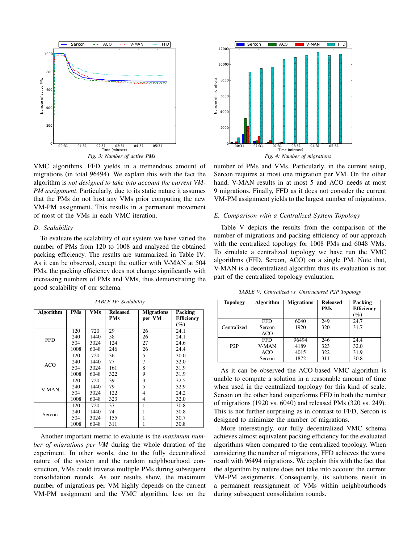

VMC algorithms. FFD yields in a tremendous amount of migrations (in total 96494). We explain this with the fact the algorithm is *not designed to take into account the current VM-PM assignment*. Particularly, due to its static nature it assumes that the PMs do not host any VMs prior computing the new VM-PM assignment. This results in a permanent movement of most of the VMs in each VMC iteration.

#### *D. Scalability*

To evaluate the scalability of our system we have varied the number of PMs from 120 to 1008 and analyzed the obtained packing efficiency. The results are summarized in Table IV. As it can be observed, except the outlier with V-MAN at 504 PMs, the packing efficiency does not change significantly with increasing numbers of PMs and VMs, thus demonstrating the good scalability of our schema.

| <b>Algorithm</b> | <b>PMs</b> | $\overline{\textbf{V}}\textbf{M}\textbf{s}$ | <b>Released</b> | <b>Migrations</b> | Packing           |
|------------------|------------|---------------------------------------------|-----------------|-------------------|-------------------|
|                  |            |                                             | <b>PMs</b>      | per VM            | <b>Efficiency</b> |
|                  |            |                                             |                 |                   | $($ %)            |
|                  | 120        | 720                                         | 29              | 26                | 24.1              |
| <b>FFD</b>       | 240        | 1440                                        | 58              | 26                | 24.1              |
|                  | 504        | 3024                                        | 124             | 27                | 24.6              |
|                  | 1008       | 6048                                        | 246             | 26                | 24.4              |
|                  | 120        | 720                                         | 36              | 5                 | 30.0              |
| <b>ACO</b>       | 240        | 1440                                        | 77              |                   | 32.0              |
|                  | 504        | 3024                                        | 161             | 8                 | 31.9              |
|                  | 1008       | 6048                                        | 322             | 9                 | 31.9              |
| V-MAN            | 120        | 720                                         | 39              | 3                 | 32.5              |
|                  | 240        | 1440                                        | 79              | 5                 | 32.9              |
|                  | 504        | 3024                                        | 122             | 4                 | 24.2              |
|                  | 1008       | 6048                                        | 323             | 4                 | 32.0              |
| Sercon           | 120        | 720                                         | 37              |                   | 30.8              |
|                  | 240        | 1440                                        | 74              |                   | 30.8              |
|                  | 504        | 3024                                        | 155             |                   | 30.7              |
|                  | 1008       | 6048                                        | 311             |                   | 30.8              |

*TABLE IV: Scalability*

Another important metric to evaluate is the *maximum number of migrations per VM* during the whole duration of the experiment. In other words, due to the fully decentralized nature of the system and the random neighbourhood construction, VMs could traverse multiple PMs during subsequent consolidation rounds. As our results show, the maximum number of migrations per VM highly depends on the current VM-PM assignment and the VMC algorithm, less on the



number of PMs and VMs. Particularly, in the current setup, Sercon requires at most one migration per VM. On the other hand, V-MAN results in at most 5 and ACO needs at most 9 migrations. Finally, FFD as it does not consider the current VM-PM assignment yields to the largest number of migrations.

#### *E. Comparison with a Centralized System Topology*

Table V depicts the results from the comparison of the number of migrations and packing efficiency of our approach with the centralized topology for 1008 PMs and 6048 VMs. To simulate a centralized topology we have run the VMC algorithms (FFD, Sercon, ACO) on a single PM. Note that, V-MAN is a decentralized algorithm thus its evaluation is not part of the centralized topology evaluation.

| <b>Topology</b>  | <b>Algorithm</b> | <b>Migrations</b> | <b>Released</b><br><b>PMs</b> | <b>Packing</b><br><b>Efficiency</b><br>$(\%)$ |
|------------------|------------------|-------------------|-------------------------------|-----------------------------------------------|
|                  | FFD              | 6040              | 249                           | 24.7                                          |
| Centralized      | Sercon           | 1920              | 320                           | 31.7                                          |
|                  | <b>ACO</b>       |                   |                               |                                               |
|                  | <b>FFD</b>       | 96494             | 246                           | 24.4                                          |
| P <sub>2</sub> P | V-MAN            | 4189              | 323                           | 32.0                                          |
|                  | <b>ACO</b>       | 4015              | 322                           | 31.9                                          |
|                  | Sercon           | 1872              | 311                           | 30.8                                          |

*TABLE V: Centralized vs. Unstructured P2P Topology*

As it can be observed the ACO-based VMC algorithm is unable to compute a solution in a reasonable amount of time when used in the centralized topology for this kind of scale. Sercon on the other hand outperforms FFD in both the number of migrations (1920 vs. 6040) and released PMs (320 vs. 249). This is not further surprising as in contrast to FFD, Sercon is designed to minimize the number of migrations.

More interestingly, our fully decentralized VMC schema achieves almost equivalent packing efficiency for the evaluated algorithms when compared to the centralized topology. When considering the number of migrations, FFD achieves the worst result with 96494 migrations. We explain this with the fact that the algorithm by nature does not take into account the current VM-PM assignments. Consequently, its solutions result in a permanent reassignment of VMs within neighbourhoods during subsequent consolidation rounds.